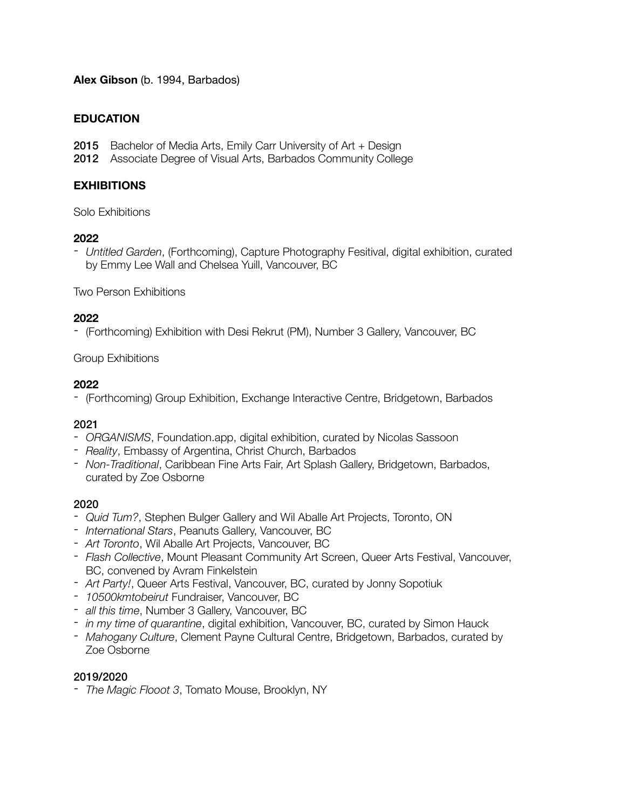## **Alex Gibson** (b. 1994, Barbados)

## **EDUCATION**

- 2015 Bachelor of Media Arts, Emily Carr University of Art + Design
- 2012 Associate Degree of Visual Arts, Barbados Community College

## **EXHIBITIONS**

Solo Exhibitions

#### **2022**

- *Untitled Garden*, (Forthcoming), Capture Photography Fesitival, digital exhibition, curated by Emmy Lee Wall and Chelsea Yuill, Vancouver, BC

Two Person Exhibitions

#### **2022**

- (Forthcoming) Exhibition with Desi Rekrut (PM), Number 3 Gallery, Vancouver, BC

## Group Exhibitions

## **2022**

- (Forthcoming) Group Exhibition, Exchange Interactive Centre, Bridgetown, Barbados

## 2021

- *ORGANISMS*, Foundation.app, digital exhibition, curated by Nicolas Sassoon
- *Reality*, Embassy of Argentina, Christ Church, Barbados
- *Non-Traditional*, Caribbean Fine Arts Fair, Art Splash Gallery, Bridgetown, Barbados, curated by Zoe Osborne

## 2020

- *Quid Tum?*, Stephen Bulger Gallery and Wil Aballe Art Projects, Toronto, ON
- *International Stars*, Peanuts Gallery, Vancouver, BC
- *Art Toronto*, Wil Aballe Art Projects, Vancouver, BC
- *Flash Collective*, Mount Pleasant Community Art Screen, Queer Arts Festival, Vancouver, BC, convened by Avram Finkelstein
- *Art Party!*, Queer Arts Festival, Vancouver, BC, curated by Jonny Sopotiuk
- *10500kmtobeirut* Fundraiser, Vancouver, BC
- *all this time*, Number 3 Gallery, Vancouver, BC
- *in my time of quarantine*, digital exhibition, Vancouver, BC, curated by Simon Hauck
- *Mahogany Culture*, Clement Payne Cultural Centre, Bridgetown, Barbados, curated by Zoe Osborne

## 2019/2020

- *The Magic Flooot 3*, Tomato Mouse, Brooklyn, NY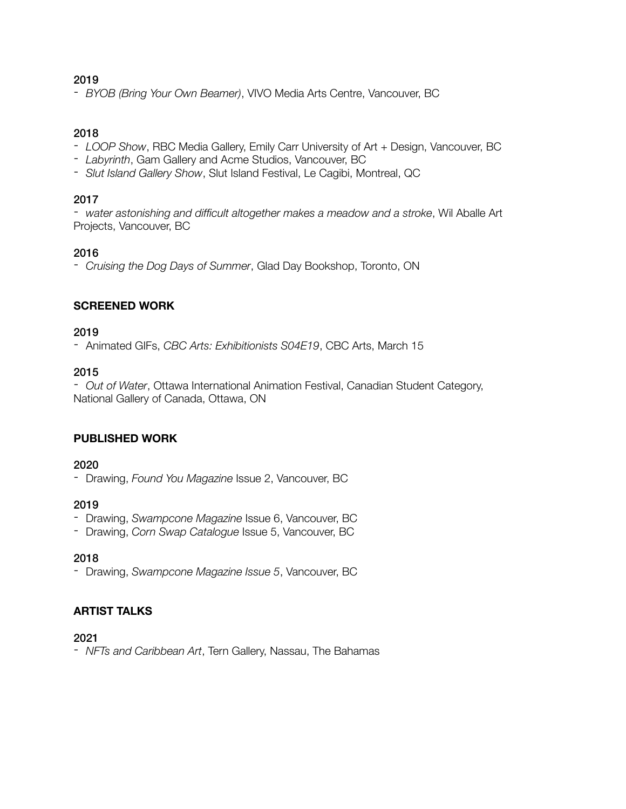#### 2019

- *BYOB (Bring Your Own Beamer)*, VIVO Media Arts Centre, Vancouver, BC

#### 2018

- *LOOP Show*, RBC Media Gallery, Emily Carr University of Art + Design, Vancouver, BC
- *Labyrinth*, Gam Gallery and Acme Studios, Vancouver, BC
- *Slut Island Gallery Show*, Slut Island Festival, Le Cagibi, Montreal, QC

#### 2017

- *water astonishing and difficult altogether makes a meadow and a stroke*, Wil Aballe Art Projects, Vancouver, BC

## 2016

- *Cruising the Dog Days of Summer*, Glad Day Bookshop, Toronto, ON

# **SCREENED WORK**

#### 2019

- Animated GIFs, *CBC Arts: Exhibitionists S04E19*, CBC Arts, March 15

## 2015

- *Out of Water*, Ottawa International Animation Festival, Canadian Student Category, National Gallery of Canada, Ottawa, ON

## **PUBLISHED WORK**

## 2020

- Drawing, *Found You Magazine* Issue 2, Vancouver, BC

## 2019

- Drawing, *Swampcone Magazine* Issue 6, Vancouver, BC
- Drawing, *Corn Swap Catalogue* Issue 5, Vancouver, BC

## 2018

- Drawing, *Swampcone Magazine Issue 5*, Vancouver, BC

# **ARTIST TALKS**

## 2021

- *NFTs and Caribbean Art*, Tern Gallery, Nassau, The Bahamas